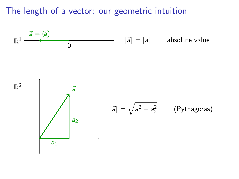The length of a vector: our geometric intuition

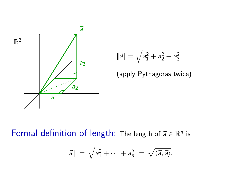

$$
\|\vec{a}\| = \sqrt{a_1^2 + a_2^2 + a_3^2}
$$

(apply Pythagoras twice)

Formal definition of length: The length of  $\vec{a} \in \mathbb{R}^n$  is

$$
\|\vec{a}\| = \sqrt{a_1^2 + \cdots + a_n^2} = \sqrt{\langle \vec{a}, \vec{a} \rangle}.
$$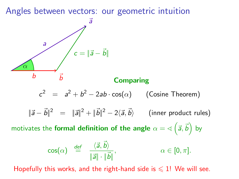Angles between vectors: our geometric intuition



#### **Comparing**

$$
c2 = a2 + b2 - 2ab \cdot cos(\alpha)
$$
 (Cosine Theorem)

$$
\|\vec{a} - \vec{b}\|^2 = \|\vec{a}\|^2 + \|\vec{b}\|^2 - 2\langle \vec{a}, \vec{b} \rangle \qquad \text{(inner product rules)}
$$

motivates the formal definition of the angle  $\alpha = \sphericalangle\left({\vec a},{\vec b}\right)$  by

$$
\cos(\alpha) \stackrel{\text{def}}{=} \frac{\langle \vec{a}, \vec{b} \rangle}{\|\vec{a}\| \cdot \|\vec{b}\|}, \qquad \alpha \in [0, \pi].
$$

Hopefully this works, and the right-hand side is  $\leq 1!$  We will see.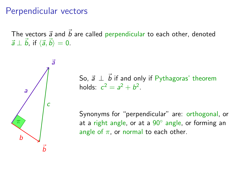#### Perpendicular vectors

The vectors  $\vec{a}$  and  $\vec{b}$  are called perpendicular to each other, denoted  $\vec{a} \perp \vec{b}$ , if  $\langle \vec{a}, \vec{b} \rangle = 0$ .



So,  $\vec{a} \perp \vec{b}$  if and only if Pythagoras' theorem holds:  $c^2 = a^2 + b^2$ .

Synonyms for "perpendicular" are: orthogonal, or at a right angle, or at a 90° angle, or forming an angle of  $\pi$ , or normal to each other.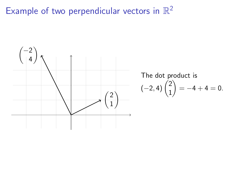# Example of two perpendicular vectors in  $\mathbb{R}^2$



The dot product is  
\n
$$
(-2, 4)
$$
 $\binom{2}{1} = -4 + 4 = 0.$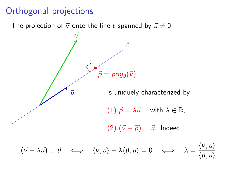### Orthogonal projections

The projection of  $\vec{v}$  onto the line  $\ell$  spanned by  $\vec{u} \neq 0$ 

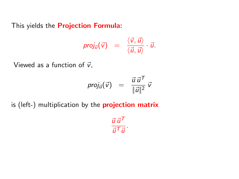This yields the **Projection Formula:** 

$$
proj_{\vec{u}}(\vec{v}) = \frac{\langle \vec{v}, \vec{u} \rangle}{\langle \vec{u}, \vec{u} \rangle} \cdot \vec{u}.
$$

Viewed as a function of  $\vec{v}$ ,

$$
\text{proj}_{\vec{u}}(\vec{v}) = \frac{\vec{u} \, \vec{u}^T}{\|\vec{u}\|^2} \, \vec{v}
$$

is (left-) multiplication by the **projection matrix** 

 $\vec{u} \, \vec{u}^{\mathsf{T}}$  $rac{u}{\vec{u}^T\vec{u}}$ .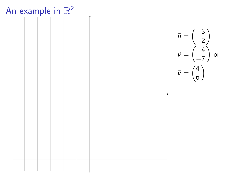

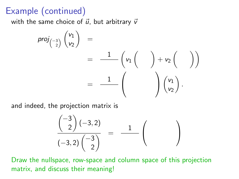### Example (continued)

with the same choice of  $\vec{u}$ , but arbitrary  $\vec{v}$ 

$$
proj_{\begin{pmatrix} -3 \\ 2 \end{pmatrix}} \begin{pmatrix} v_1 \\ v_2 \end{pmatrix} = \frac{1}{\begin{pmatrix} v_1 \\ v_2 \end{pmatrix} + v_2 \begin{pmatrix} 0 \\ 0 \end{pmatrix}} = \frac{1}{\begin{pmatrix} 0 \\ 0 \end{pmatrix} \begin{pmatrix} v_1 \\ v_2 \end{pmatrix}.
$$

and indeed, the projection matrix is

$$
\frac{\binom{-3}{2}(-3,2)}{(-3,2)\binom{-3}{2}} = \frac{1}{\binom{-1}{2}}
$$

Draw the nullspace, row-space and column space of this projection matrix, and discuss their meaning!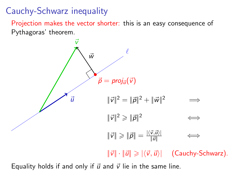## Cauchy-Schwarz inequality

Projection makes the vector shorter: this is an easy consequence of Pythagoras' theorem.



Equality holds if and only if  $\vec{u}$  and  $\vec{v}$  lie in the same line.